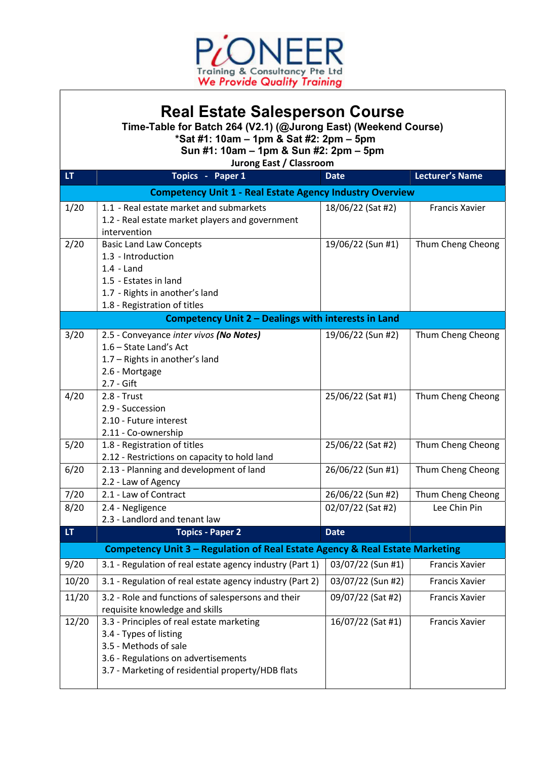

## Real Estate Salesperson Course

Time-Table for Batch 264 (V2.1) (@Jurong East) (Weekend Course)

\*Sat #1: 10am – 1pm & Sat #2: 2pm – 5pm

Sun #1: 10am – 1pm & Sun #2: 2pm – 5pm

Jurong East / Classroom

| LT.                                                                          | Topics - Paper 1                                                                                                                                                                         | <b>Date</b>       | <b>Lecturer's Name</b> |  |
|------------------------------------------------------------------------------|------------------------------------------------------------------------------------------------------------------------------------------------------------------------------------------|-------------------|------------------------|--|
| <b>Competency Unit 1 - Real Estate Agency Industry Overview</b>              |                                                                                                                                                                                          |                   |                        |  |
| 1/20                                                                         | 1.1 - Real estate market and submarkets<br>1.2 - Real estate market players and government<br>intervention                                                                               | 18/06/22 (Sat #2) | <b>Francis Xavier</b>  |  |
| 2/20                                                                         | <b>Basic Land Law Concepts</b><br>1.3 - Introduction<br>$1.4 -$ Land<br>1.5 - Estates in land<br>1.7 - Rights in another's land<br>1.8 - Registration of titles                          | 19/06/22 (Sun #1) | Thum Cheng Cheong      |  |
| Competency Unit 2 - Dealings with interests in Land                          |                                                                                                                                                                                          |                   |                        |  |
| 3/20                                                                         | 2.5 - Conveyance inter vivos (No Notes)<br>1.6 - State Land's Act<br>1.7 - Rights in another's land<br>2.6 - Mortgage<br>$2.7 - Gift$                                                    | 19/06/22 (Sun #2) | Thum Cheng Cheong      |  |
| 4/20                                                                         | 2.8 - Trust<br>2.9 - Succession<br>2.10 - Future interest<br>2.11 - Co-ownership                                                                                                         | 25/06/22 (Sat #1) | Thum Cheng Cheong      |  |
| 5/20                                                                         | 1.8 - Registration of titles<br>2.12 - Restrictions on capacity to hold land                                                                                                             | 25/06/22 (Sat #2) | Thum Cheng Cheong      |  |
| 6/20                                                                         | 2.13 - Planning and development of land<br>2.2 - Law of Agency                                                                                                                           | 26/06/22 (Sun #1) | Thum Cheng Cheong      |  |
| 7/20                                                                         | 2.1 - Law of Contract                                                                                                                                                                    | 26/06/22 (Sun #2) | Thum Cheng Cheong      |  |
| 8/20                                                                         | 2.4 - Negligence<br>2.3 - Landlord and tenant law                                                                                                                                        | 02/07/22 (Sat #2) | Lee Chin Pin           |  |
| LT.                                                                          | <b>Topics - Paper 2</b>                                                                                                                                                                  | <b>Date</b>       |                        |  |
| Competency Unit 3 - Regulation of Real Estate Agency & Real Estate Marketing |                                                                                                                                                                                          |                   |                        |  |
| 9/20                                                                         | 3.1 - Regulation of real estate agency industry (Part 1)                                                                                                                                 | 03/07/22 (Sun #1) | <b>Francis Xavier</b>  |  |
| 10/20                                                                        | 3.1 - Regulation of real estate agency industry (Part 2)                                                                                                                                 | 03/07/22 (Sun #2) | <b>Francis Xavier</b>  |  |
| 11/20                                                                        | 3.2 - Role and functions of salespersons and their<br>requisite knowledge and skills                                                                                                     | 09/07/22 (Sat #2) | Francis Xavier         |  |
| 12/20                                                                        | 3.3 - Principles of real estate marketing<br>3.4 - Types of listing<br>3.5 - Methods of sale<br>3.6 - Regulations on advertisements<br>3.7 - Marketing of residential property/HDB flats | 16/07/22 (Sat #1) | Francis Xavier         |  |